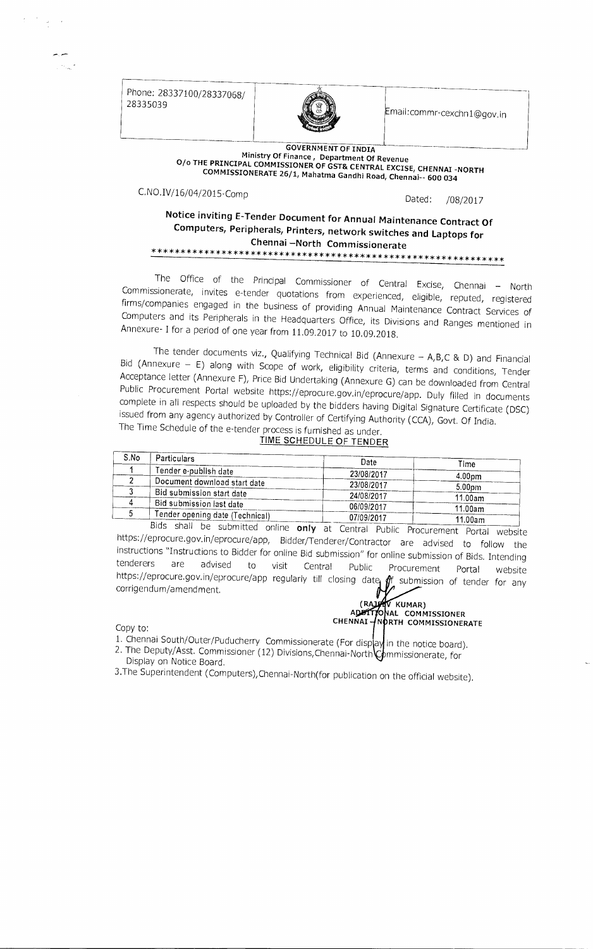Phone: 28337100/28337068/ 28335039

 $\label{eq:2.1} \frac{d}{dt} = \frac{d}{dt} \left( \frac{d}{dt} \right) \frac{d}{dt}$ 



Email:commr-cexchn1©gov.in

#### GOVERNMENT OF INDIA Ministry Of Finance , Department Of Revenue 0/0 THE PRINCIPAL COMMISSIONER OF GST& CENTRAL EXCISE, CHENNAI -NORTH COMMISSIONERATE 26/1, Mahatma Gandhi Road, Chennai-- 600 034

C.NO.IV/16/04/2015-Comp

Dated: /08/2017

### Notice inviting E-Tender Document for Annual Maintenance Contract Of Computers, Peripherals, Printers, network switches and Laptops for Chennai —North Commissionerate \*\*\*\*\*\*\*\*\*\*\*\*\*\*\*\*\*\*\*\*\*\*\*\*\*\*\*\*\*\*\*\*\*\*\*\*\*\*\*\*\*\*\*\*\*\*\*\*\*\*\*\*\*\*\*\*\*\*\*\*\*

The Office of the Principal Commissioner of Central Excise, Chennai — North Commissionerate, invites e-tender quotations from experienced, eligible, reputed, registered firms/companies engaged in the business of providing Annual Maintenance Contract Services of Computers and its Peripherals in the Headquarters Office, its Divisions and Ranges mentioned in Annexure- I for a period of one year from 11,09.2017 to 10.09.2018.

The tender documents viz., Qualifying Technical Bid (Annexure — A,B,C & D) and Financial Bid (Annexure — E) along with Scope of work, eligibility criteria, terms and conditions, Tender Acceptance letter (Annexure F), Price Bid Undertaking (Annexure G) can be downloaded from Central Public Procurement Portal website https://eprocure.gov.in/eprocure/app. Duly filled in documents complete in all respects should be uploaded by the bidders having Digital Signature Certificate (DSC) issued from any agency authorized by Controller of Certifying Authority (CCA), Govt. Of India. The Time Schedule of the e-tender process is furnished as under.

### TIME SCHEDULE OF TENDER

| S.No | <b>Particulars</b>                                                         | Date       | Time               |
|------|----------------------------------------------------------------------------|------------|--------------------|
|      | Tender e-publish date                                                      | 23/08/2017 | 4.00 <sub>pm</sub> |
|      | Document download start date                                               | 23/08/2017 | 5.00 <sub>pm</sub> |
|      | Bid submission start date                                                  | 24/08/2017 | 11.00am            |
|      | Bid submission last date                                                   | 06/09/2017 | 11.00am            |
|      | <b>fender opening date (Technical)</b><br>المستحدث والمحامي المماسي وأجلال | 07/09/2017 | 11.00am            |

online only at Central Public Procurement Portal website https://eprocure.gov.in/eprocure/app, Bidder/Tenderer/Contractor are advised to follow the instructions "Instructions to Bidder for online Bid submission" for online submission of Bids. Intending tenderers are advised to visit Central Public Procurement Portal website tenderers are advised to visit Central Public Procurement Portal website<br>https://eprocure.gov.in/eprocure/app regularly till closing date  $\oint_A$  submission of tender for any corrigendum/amendment.

#### Copy to:

- (RAJAV KUMAR)<br>ADATITONAL COMMISSIONER CHENNAI – NORTH COMMISSIONERATE
- 1. Chennai South/Outer/Puducherry Commissionerate (For disp ay in the notice board).
- 2. The Deputy/Asst. Commissioner (12) Divisions, Chennai-North Commissionerate, for Display on Notice Board.
- 3.The Superintendent (Computers),Chennai-North(for publication on the official website).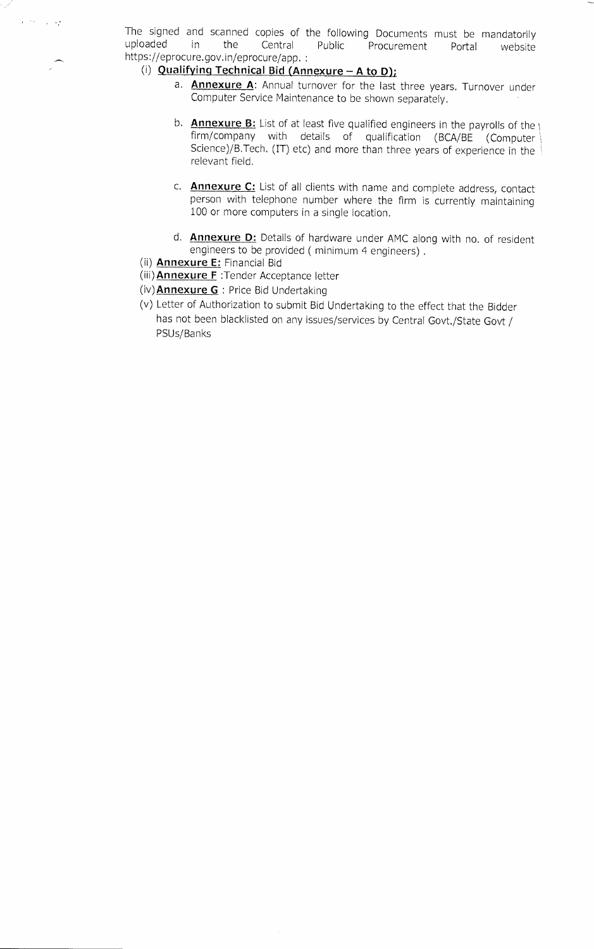The signed and scanned copies of the following Documents must be mandatorily uploaded in the Central Public Procurement Portal website Central Public Procurement Portal website https://eprocure.gov.in/eprocure/app. :

### (i) Qualifying Technical Bid (Annexure  $-$  A to D);

- a. **Annexure A**: Annual turnover for the last three years. Turnover under Computer Service Maintenance to be shown separately.
- b. **Annexure B:** List of at least five qualified engineers in the payrolls of the  $\frac{1}{1}$ firm/company with details of qualification (BCA/BE (Computer Science)/B.Tech. (IT) etc) and more than three years of experience in the relevant field.
- c. **Annexure C:** List of all clients with name and complete address, contact person with telephone number where the firm is currently maintaining 100 or more computers in a single location.
- d. **Annexure D:** Details of hardware under AMC along with no. of resident engineers to be provided ( minimum 4 engineers) .
- (ii) Annexure E: Financial Bid

 $\ell^{1/2}$  ,  $\ell^{1/2}$ 

- (iii) **Annexure F** : Tender Acceptance letter
- (iv) **Annexure G** : Price Bid Undertaking
- (v) Letter of Authorization to submit Bid Undertaking to the effect that the Bidder has not been blacklisted on any issues/services by Central Govt./State Govt / PSUs/Banks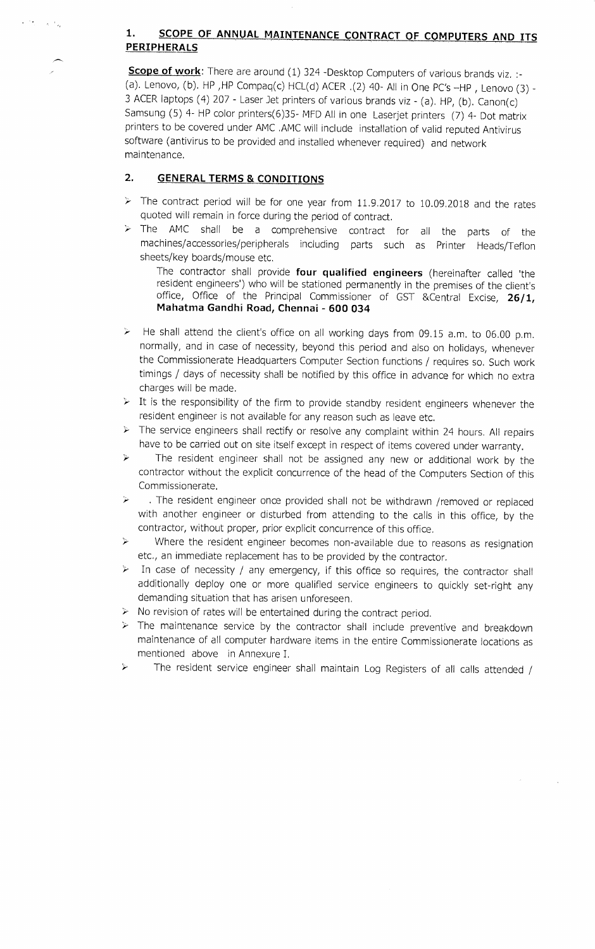### **1. SCOPE OF ANNUAL MAINTENANCE CONTRACT OF COMPUTERS AND ITS PERIPHERALS**

**Scope of work:** There are around (1) 324 -Desktop Computers of various brands viz. :-(a). Lenovo, (b). HP ,HP Compaq(c) HCL(d) ACER ,(2) 40- All in One PC's —HP , Lenovo (3) - 3 ACER laptops (4) 207 - Laser Jet printers of various brands viz - (a). HP, (b). Canon(c) Samsung (5) 4- HP color printers(6)35- MFD All in one Laserjet printers (7) 4- Dot matrix printers to be covered under AMC .AMC will include installation of valid reputed Antivirus software (antivirus to be provided and installed whenever required) and network maintenance,

### **2. GENERAL TERMS & CONDITIONS**

- $\geq$  The contract period will be for one year from 11.9.2017 to 10.09.2018 and the rates quoted will remain in force during the period of contract.
- $\geq$ The AMC shall be a comprehensive contract for all the parts of the machines/accessories/peripherals including parts such as Printer Heads/Teflon sheets/key boards/mouse etc.

The contractor shall provide **four qualified engineers** (hereinafter called 'the resident engineers') who will be stationed permanently in the premises of the client's office, Office of the Principal Commissioner of GST &Central Excise, **26/1, Mahatma Gandhi Road, Chennai - 600 034** 

- He shall attend the client's office on all working days from 09.15 a.m. to 06.00 p.m.  $\geq$ normally, and in case of necessity, beyond this period and also on holidays, whenever the Commissionerate Headquarters Computer Section functions / requires so. Such work timings / days of necessity shall be notified by this office in advance for which no extra charges will be made.
- $\triangleright$  It is the responsibility of the firm to provide standby resident engineers whenever the resident engineer is not available for any reason such as leave etc.
- $\triangleright$  The service engineers shall rectify or resolve any complaint within 24 hours. All repairs have to be carried out on site itself except in respect of items covered under warranty.
- The resident engineer shall not be assigned any new or additional work by the A contractor without the explicit concurrence of the head of the Computers Section of this Commissionerate.
- . The resident engineer once provided shall not be withdrawn /removed or replaced  $\geq$ with another engineer or disturbed from attending to the calls in this office, by the contractor, without proper, prior explicit concurrence of this office,
- Where the resident engineer becomes non-available due to reasons as resignation  $\geq$ etc., an immediate replacement has to be provided by the contractor.
- $\blacktriangleright$ In case of necessity / any emergency, if this office so requires, the contractor shall additionally deploy one or more qualified service engineers to quickly set-right any demanding situation that has arisen unforeseen.
- $\triangleright$  No revision of rates will be entertained during the contract period.
- $\triangleright$  The maintenance service by the contractor shall include preventive and breakdown maintenance of all computer hardware items in the entire Commissionerate locations as mentioned above in Annexure I.
- The resident service engineer shall maintain Log Registers of all calls attended /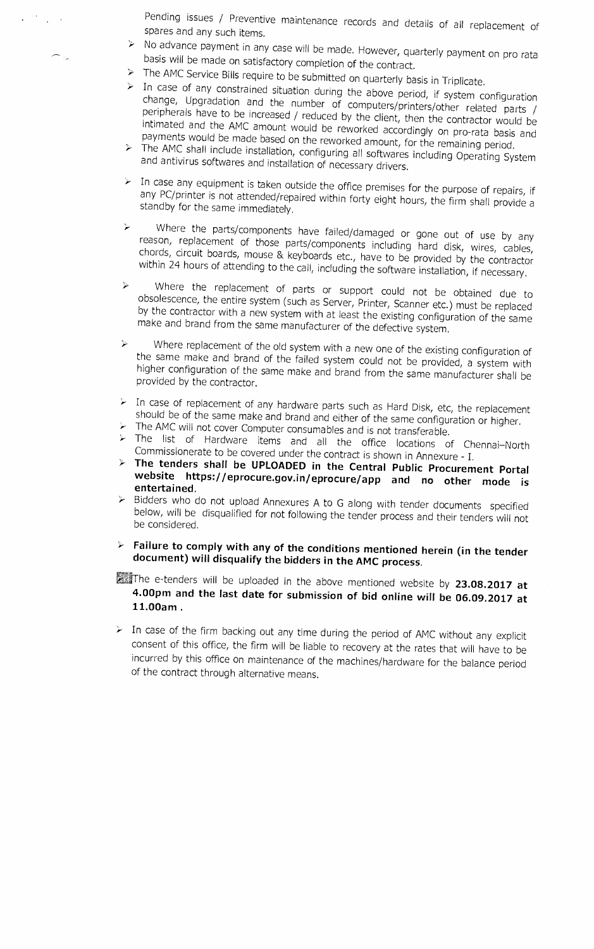Pending issues / Preventive maintenance records and details of all replacement of spares and any such items.

- No advance payment in any case will be made. However, quarterly payment on pro rata basis will be made on satisfactory completion of the contract.
- The AMC Service Bills require to be submitted on quarterly basis in Triplicate.
- $\triangleright$  In case of any constrained situation during the above period, if system configuration change, Upgradation and the number of computers/printers/other related parts / peripherals have to be increased / reduced by the client, then the contractor would be intimated and the AMC amount would be reworked accordingly on pro-rata basis and payments would be made based on the reworked amount, for the remaining period.
- $\triangleright$  The AMC shall include installation, configuring all softwares including Operating System and antivirus softwares and installation of necessary drivers.
- $\triangleright$  In case any equipment is taken outside the office premises for the purpose of repairs, if any PC/printer is not attended/repaired within forty eight hours, the firm shall provide a standby for the same immediately.
- Where the parts/components have failed/damaged or gone out of use by any reason, replacement of those parts/components including hard disk, wires, cables, chords, circuit boards, mouse & keyboards etc., have to be provided by the contractor within 24 hours of attending to the call, including the software installation, if necessary.
- Where the replacement of parts or support could not be obtained due to  $\blacktriangleright$ obsolescence, the entire system (such as Server, Printer, Scanner etc.) must be replaced by the contractor with a new system with at least the existing configuration of the same make and brand from the same manufacturer of the defective system.
- Where replacement of the old system with a new one of the existing configuration of  $\blacktriangleright$ the same make and brand of the failed system could not be provided, a system with higher configuration of the same make and brand from the same manufacturer shall be provided by the contractor.
- In case of replacement of any hardware parts such as Hard Disk, etc, the replacement should be of the same make and brand and either of the same configuration or higher.
- $\triangleright$  The AMC will not cover Computer consumables and is not transferable.
- The list of Hardware items and all the office locations of Chennai—North Commissionerate to be covered under the contract is shown in Annexure - I.
- **The tenders shall be UPLOADED in the Central Public Procurement Portal website https://eprocure.gov.in/eprocure/app and no other mode is entertained.**
- $\triangleright$  Bidders who do not upload Annexures A to G along with tender documents specified below, will be disqualified for not following the tender process and their tenders will not be considered.
- **Failure to comply with any of the conditions mentioned herein (in the tender document) will disqualify the bidders in the AMC process.**

The e-tenders will be uploaded in the above mentioned website by **23.08.2017 at 4.00pm and the last date for submission of bid online will be 06.09.2017 at 11.00am .** 

 $\triangleright$  In case of the firm backing out any time during the period of AMC without any explicit consent of this office, the firm will be liable to recovery at the rates that will have to be incurred by this office on maintenance of the machines/hardware for the balance period of the contract through alternative means.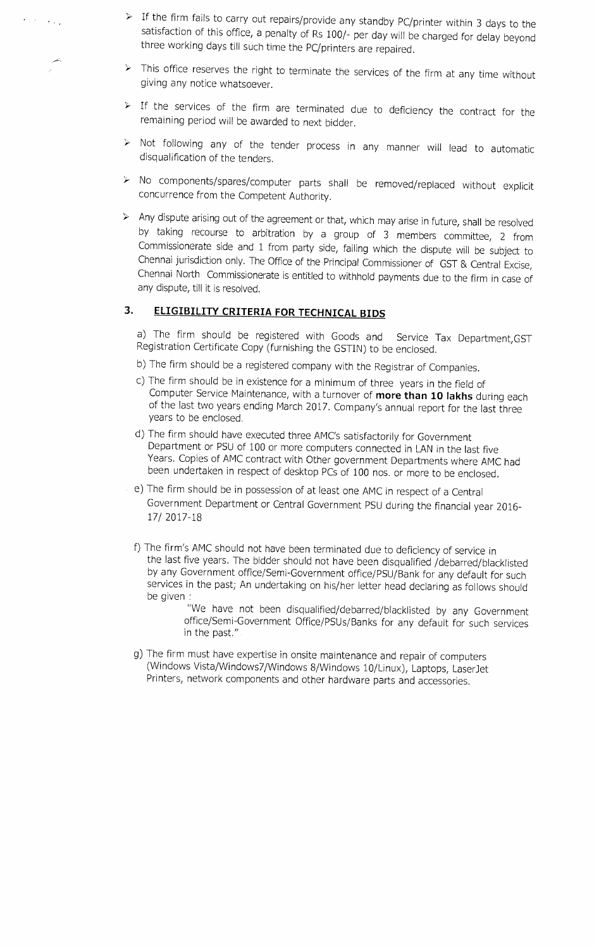- If the firm fails to carry out repairs/provide any standby PC/printer within 3 days to the satisfaction of this office, a penalty of Rs 100/- per day will be charged for delay beyond three working days till such time the PC/printers are repaired.
- $\triangleright$  This office reserves the right to terminate the services of the firm at any time without giving any notice whatsoever.
- $\triangleright$  If the services of the firm are terminated due to deficiency the contract for the remaining period will be awarded to next bidder.
- $\triangleright$  Not following any of the tender process in any manner will lead to automatic disqualification of the tenders.
- No components/spares/computer parts shall be removed/replaced without explicit concurrence from the Competent Authority.
- $\triangleright$  Any dispute arising out of the agreement or that, which may arise in future, shall be resolved by taking recourse to arbitration by a group of 3 members committee, 2 from Commissionerate side and 1 from party side, failing which the dispute will be subject to Chennai jurisdiction only. The Office of the Principal Commissioner of GST & Central Excise, Chennai North Commissionerate is entitled to withhold payments due to the firm in case of any dispute, till it is resolved.

### 3. **ELIGIBILITY CRITERIA FOR TECHNICAL BIDS**

 $\epsilon$  and the state  $\epsilon$ 

a) The firm should be registered with Goods and Service Tax Department,GST Registration Certificate Copy (furnishing the GSTIN) to be enclosed.

- b) The firm should be a registered company with the Registrar of Companies.
- c) The firm should be in existence for a minimum of three years in the field of Computer Service Maintenance, with a turnover of more than 10 lakhs during each of the last two years ending March 2017. Company's annual report for the last three years to be enclosed.
- d) The firm should have executed three AMC's satisfactorily for Government Department or PSU of 100 or more computers connected in LAN in the last five Years. Copies of AMC contract with Other government Departments where AMC had been undertaken in respect of desktop PCs of 100 nos. or more to be enclosed.
- e) The firm should be in possession of at least one AMC in respect of a Central Government Department or Central Government PSU during the financial year 2016- 17/ 2017-18
- f) The firm's AMC should not have been terminated due to deficiency of service in the last five years. The bidder should not have been disqualified /debarred/blacklisted by any Government office/Semi-Government office/PSU/Bank for any default for such services in the past; An undertaking on his/her letter head declaring as follows should be given :
	- "We have not been disqualified/debarred/blacklisted by any Government office/Semi-Government Office/PSUs/Banks for any default for such services in the past."
- g) The firm must have expertise in onsite maintenance and repair of computers (Windows Vista/Windows7/Windows 8/Windows 10/Linux), Laptops, LaserJet Printers, network components and other hardware parts and accessories.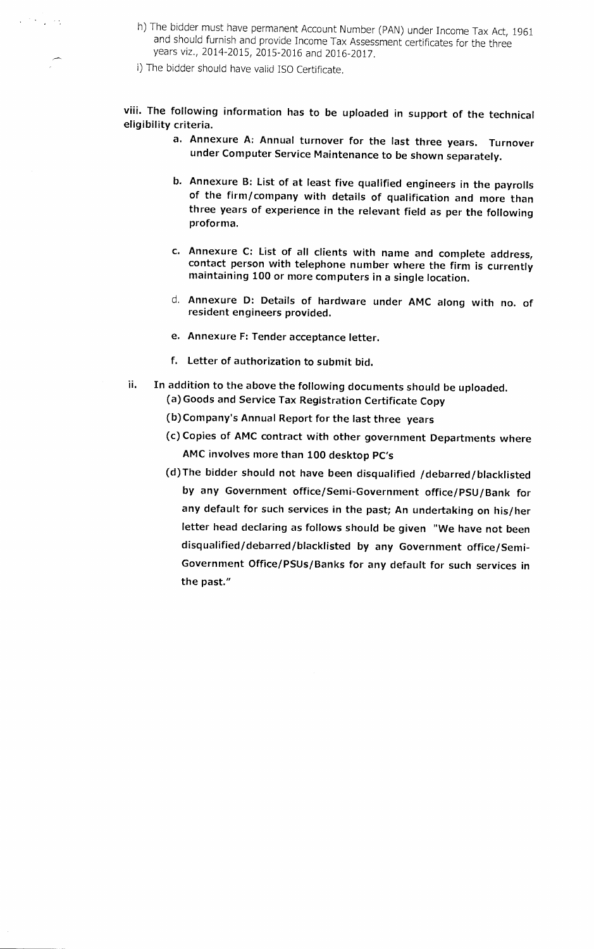- h) The bidder must have permanent Account Number (PAN) under Income Tax Act, 1961 and should furnish and provide Income Tax Assessment certificates for the three years viz., 2014-2015, 2015-2016 and 2016-2017.
- i) The bidder should have valid ISO Certificate.

经营产品的

**viii. The following information has to be uploaded in support of the technical eligibility criteria.** 

- **a. Annexure A: Annual turnover for the last three years. Turnover under Computer Service Maintenance to be shown separately.**
- **b. Annexure B: List of at least five qualified engineers in the payrolls of the firm/company with details of qualification and more than three years of experience in the relevant field as per the following proforma.**
- **c. Annexure C: List of all clients with name and complete address, contact person with telephone number where the firm is currently maintaining 100 or more computers in a single location.**
- **d. Annexure D: Details of hardware under AMC along with no. of resident engineers provided.**
- **e. Annexure F: Tender acceptance letter.**
- **f. Letter of authorization to submit bid.**
- **ii. In addition to the above the following documents should be uploaded. (a) Goods and Service Tax Registration Certificate Copy** 
	- **(b)Company's Annual Report for the last three years**
	- **(c) Copies of AMC contract with other government Departments where AMC involves more than 100 desktop PC's**
	- **(d)The bidder should not have been disqualified /debarred/blacklisted by any Government office/Semi-Government office/PSU/Bank for any default for such services in the past; An undertaking on his/her letter head declaring as follows should be given "We have not been disqualified/debarred/blacklisted by any Government office/Semi-Government Office/PSUs/Banks for any default for such services in the past."**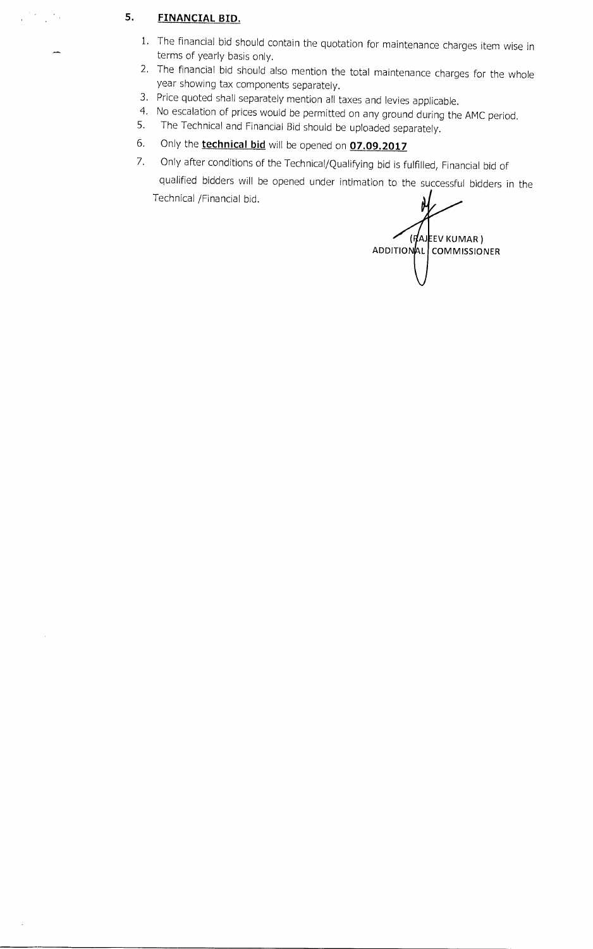### **5. FINANCIAL BID.**

 $\mathcal{L}^{(n)}$  and  $\mathcal{L}^{(n)}$  .

- 1. The financial bid should contain the quotation for maintenance charges item wise in terms of yearly basis only.
- 2. The financial bid should also mention the total maintenance charges for the whole year showing tax components separately.
- 3. Price quoted shall separately mention all taxes and levies applicable.
- 4. No escalation of prices would be permitted on any ground during the AMC period.<br>5. The Technical and Financial Bid should be uploaded separately
- 5. The Technical and Financial Bid should be uploaded separately.
- 6. Only the **technical bid** will be opened on **07.09.2017**
- 7. Only after conditions of the Technical/Qualifying bid is fulfilled, Financial bid of

qualified bidders will be opened under intimation to the successful bidders in the Technical /Financial bid.

 $(HA)$ EEV KUMAR) ADDITIONAL COMMISSIONER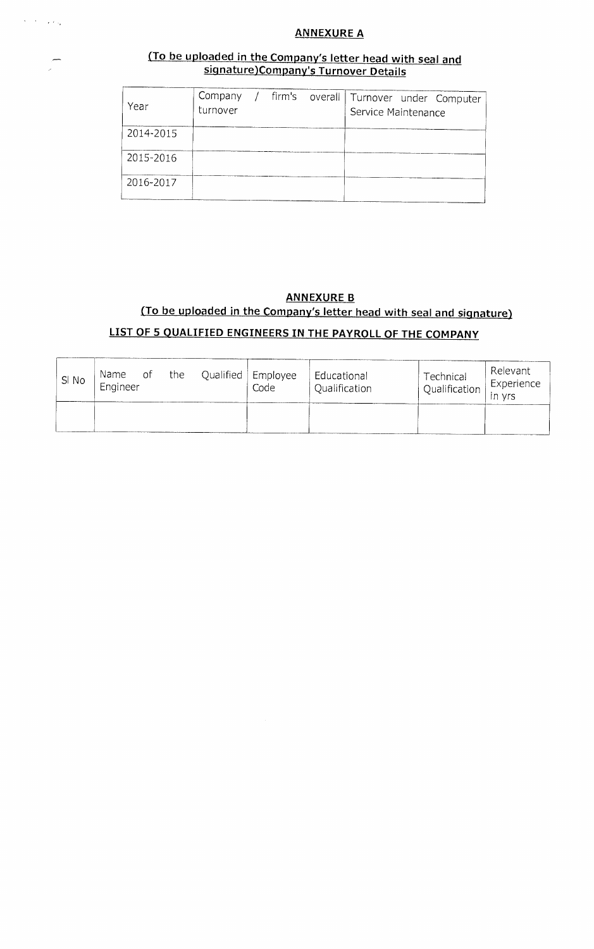## $\epsilon$  ,  $\epsilon$  ,  $\epsilon$  ,  $\epsilon$

### **ANNEXURE A**

### **(To be uploaded in the Company's letter head with seal and signature)Company's Turnover Details**

| Year      | Company<br>turnover |  | / firm's overall   Turnover under Computer<br>Service Maintenance |
|-----------|---------------------|--|-------------------------------------------------------------------|
| 2014-2015 |                     |  |                                                                   |
| 2015-2016 |                     |  |                                                                   |
| 2016-2017 |                     |  |                                                                   |

### **ANNEXURE B**

# **(To be uploaded in the Company's letter head with seal and signature)**

## **LIST OF 5 QUALIFIED ENGINEERS IN THE PAYROLL OF THE COMPANY**

| SI No | Name of<br>Engineer | the | Qualified   Employee<br>Code | Educational<br>Qualification | Technical<br>Qualification | Relevant<br>Experience<br>$\overline{1}$ in yrs |
|-------|---------------------|-----|------------------------------|------------------------------|----------------------------|-------------------------------------------------|
|       |                     |     |                              |                              |                            |                                                 |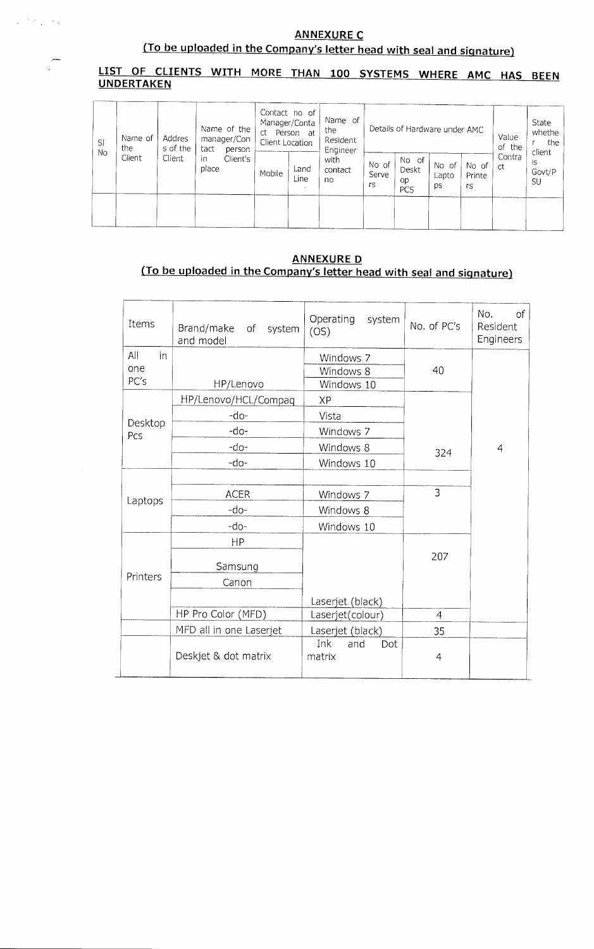$\mathcal{O}(\mathcal{O}_{\mathbb{Z}_p})$  ,  $\mathcal{O}_{\mathbb{Z}_p}$ 

# (To be uploaded in the Company's letter head with seal and signature)

### **LIST OF CLIENTS WITH MORE THAN 100 SYSTEMS WHERE AMC HAS BEEN UNDERTAKEN**

| SI<br><b>No</b> | Name of<br>the<br>Client | Addres<br>s of the<br>Client | Name of the<br>manager/Con<br>tact<br>person | Contact no of<br>Manager/Conta<br>Person at<br>ct<br>Client Location |              | Name of<br>the<br>Resident<br>Engineer | Details of Hardware under AMC |                             |                      | Value<br>of the       |              | State<br>whethe<br>the<br>client |
|-----------------|--------------------------|------------------------------|----------------------------------------------|----------------------------------------------------------------------|--------------|----------------------------------------|-------------------------------|-----------------------------|----------------------|-----------------------|--------------|----------------------------------|
|                 |                          |                              | in<br>Client's<br>place                      | Mobile                                                               | Land<br>Line | with<br>contact<br>no                  | No of<br>Serve<br>rs          | No of<br>Deskt<br>op<br>PCS | No of<br>Lapto<br>ps | No of<br>Printe<br>rs | Contra<br>ct | is<br>Govt/P<br>SU               |
|                 |                          |                              |                                              |                                                                      |              |                                        |                               |                             |                      |                       |              |                                  |

### **ANNEXURE D (To be uploaded in the Company's letter head with seal and signature)**

| Items     | Brand/make of system<br>and model | Operating system<br>(OS)    | No. of PC's    | No.<br>$\mathsf{of}$<br>Resident<br>Engineers |
|-----------|-----------------------------------|-----------------------------|----------------|-----------------------------------------------|
| All<br>in |                                   | Windows 7                   |                |                                               |
| one       |                                   | Windows 8                   | 40             |                                               |
| PC's      | HP/Lenovo                         | Windows 10                  |                |                                               |
|           | HP/Lenovo/HCL/Compaq              | <b>XP</b>                   |                |                                               |
| Desktop   | -do-                              | Vista                       |                |                                               |
| Pcs       | -do-                              | Windows 7                   |                |                                               |
|           | -do-                              | Windows 8                   | 324            | $\overline{4}$                                |
|           | -do-                              | Windows 10                  |                |                                               |
|           |                                   |                             |                |                                               |
| Laptops   | <b>ACER</b>                       | Windows 7                   | 3              |                                               |
|           | -do-                              | Windows 8                   |                |                                               |
|           | -do-                              | Windows 10                  |                |                                               |
|           | HP                                |                             |                |                                               |
|           | Samsung                           |                             | 207            |                                               |
| Printers  | Canon                             |                             |                |                                               |
|           |                                   | Laserjet (black)            |                |                                               |
|           | HP Pro Color (MFD)                | Laserjet(colour)            | $\overline{4}$ |                                               |
|           | MFD all in one Laserjet           | Laserjet (black)            | 35             |                                               |
|           | Deskjet & dot matrix              | Ink<br>and<br>Dot<br>matrix | $\overline{4}$ |                                               |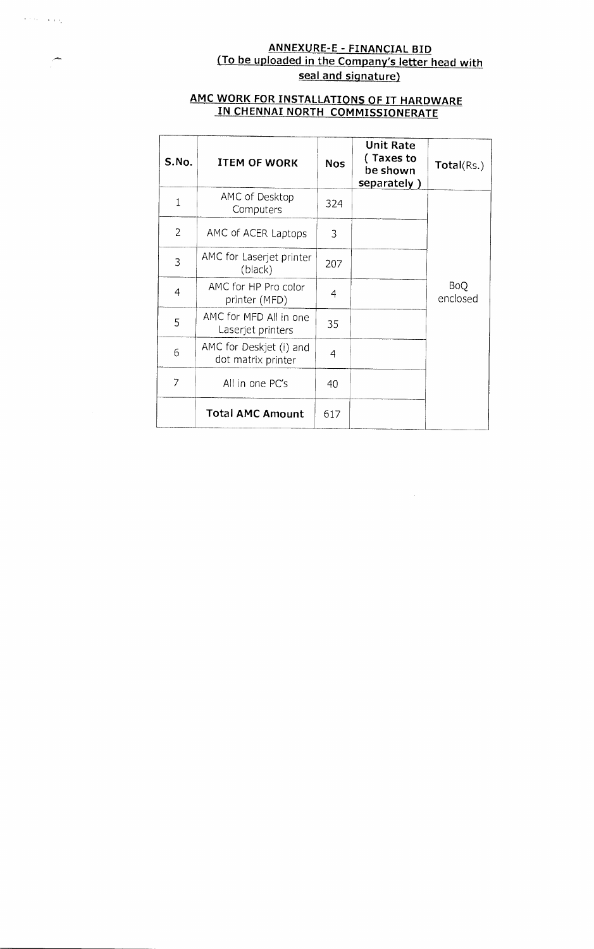### **ANNEXURE-E - FINANCIAL BID (To be uploaded in the Company's letter head with seal and signature)**

### **AMC WORK FOR INSTALLATIONS OF IT HARDWARE IN CHENNAI NORTH COMMISSIONERATE**

 $\epsilon$  , and  $\epsilon$  , and  $\epsilon$ 

ᅩ

| S.No.          | <b>ITEM OF WORK</b>                           | <b>Nos</b> | <b>Unit Rate</b><br>(Taxes to<br>be shown<br>separately) | Total(Rs.)             |
|----------------|-----------------------------------------------|------------|----------------------------------------------------------|------------------------|
| $\mathbf{1}$   | AMC of Desktop<br>Computers                   | 324        |                                                          |                        |
| $\overline{2}$ | AMC of ACER Laptops                           | 3          |                                                          |                        |
| 3              | AMC for Laserjet printer<br>(black)           | 207        |                                                          |                        |
| $\overline{4}$ | AMC for HP Pro color<br>printer (MFD)         | 4          |                                                          | <b>BoQ</b><br>enclosed |
| 5              | AMC for MFD All in one<br>Laserjet printers   | 35         |                                                          |                        |
| 6              | AMC for Deskjet (i) and<br>dot matrix printer | 4          |                                                          |                        |
| 7              | All in one PC's                               | 40         |                                                          |                        |
|                | <b>Total AMC Amount</b>                       | 617        |                                                          |                        |

 $\sim$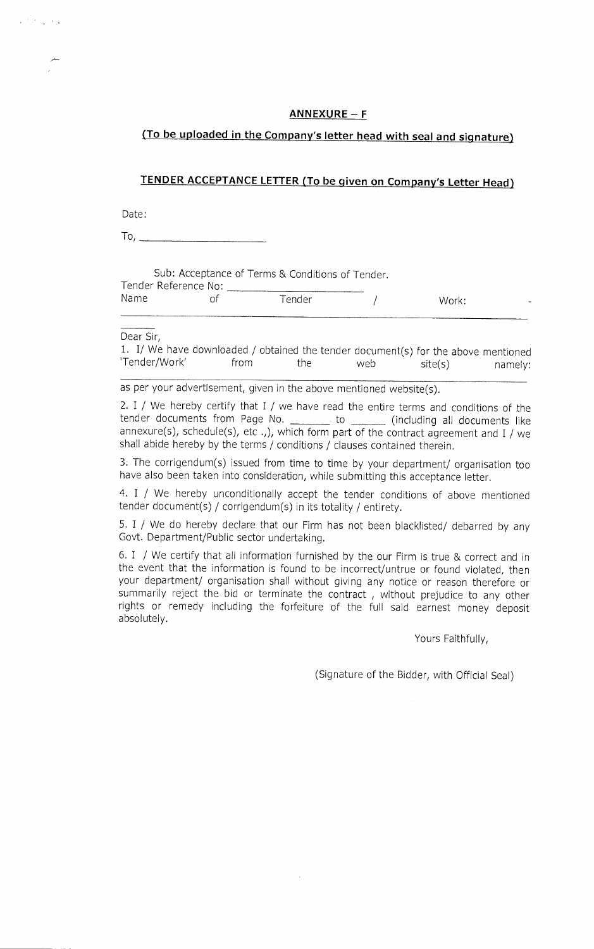**ANNEXURE — F** 

**(To be uploaded in the Company's letter head with seal and signature)** 

### **TENDER ACCEPTANCE LETTER (To be given on Company's Letter Head)**

Date:

م التي الأنا

To,  $\overline{\phantom{0}}$ 

Sub: Acceptance of Terms & Conditions of Tender.

Tender Reference No:

|  | 10 A r |  |
|--|--------|--|

Name of Tender / Work:

Dear Sir,

1. I/ We have downloaded / obtained the tender document(s) for the above mentioned 'Tender/Work' from the web site(s) namely:

as per your advertisement, given in the above mentioned website(s).

2. I / We hereby certify that I / we have read the entire terms and conditions of the tender documents from Page No. \_\_\_\_\_\_\_ to \_\_\_\_\_\_\_ (including all documents like annexure(s), schedule(s), etc .,), which form part of the contract agreement and I / we shall abide hereby by the terms / conditions / clauses contained therein.

3. The corrigendum(s) issued from time to time by your department/ organisation too have also been taken into consideration, while submitting this acceptance letter.

4. I / We hereby unconditionally accept the tender conditions of above mentioned tender document(s) / corrigendum(s) in its totality / entirety.

5. I / We do hereby declare that our Firm has not been blacklisted/ debarred by any Govt. Department/Public sector undertaking.

6. I / We certify that all information furnished by the our Firm is true & correct and in the event that the information is found to be incorrect/untrue or found violated, then your department/ organisation shall without giving any notice or reason therefore or summarily reject the bid or terminate the contract , without prejudice to any other rights or remedy including the forfeiture of the full said earnest money deposit absolutely.

Yours Faithfully,

(Signature of the Bidder, with Official Seal)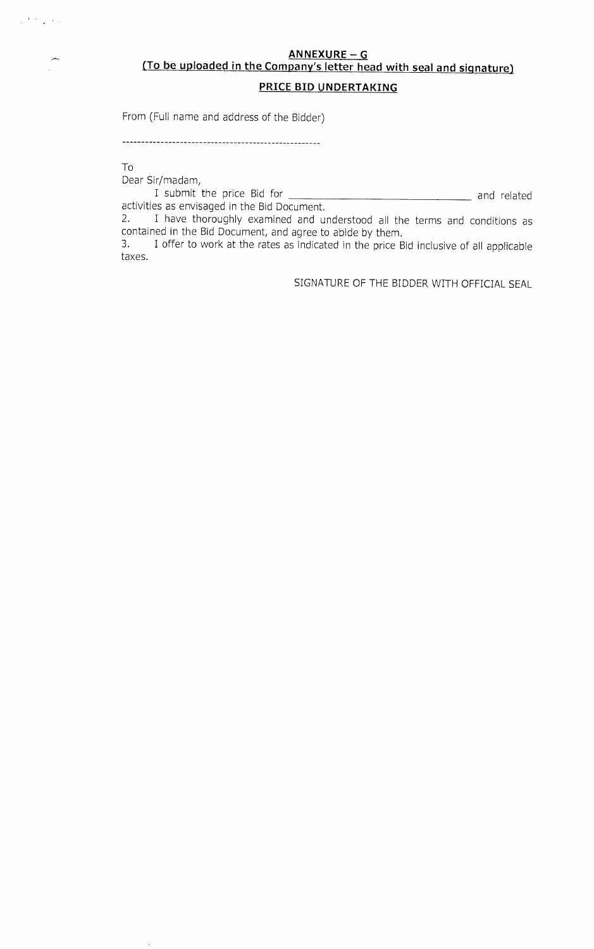### **ANNEXURE - G**

# **(To be uploaded in the Company's letter head with seal and signature)**

### **PRICE BID UNDERTAKING**

From (Full name and address of the Bidder)

To

 $\mathcal{O}^{(0,1)}$  . The  $\mathcal{O}^{(1)}$ 

Dear Sir/madam,

I submit the price Bid for and related activities as envisaged in the Bid Document.

2. I have thoroughly examined and understood all the terms and conditions as contained in the Bid Document, and agree to abide by them.<br>3. I offer to work at the rates as indicated in the price Bi

3. I offer to work at the rates as indicated in the price Bid inclusive of all applicable taxes.

SIGNATURE OF THE BIDDER WITH OFFICIAL SEAL